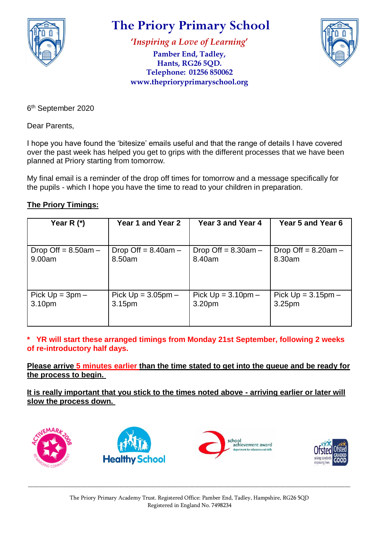

## **The Priory Primary School**

**'***Inspiring a Love of Learning***'**

**Pamber End, Tadley, Hants, RG26 5QD. Telephone: 01256 850062 www.theprioryprimaryschool.org**



6<sup>th</sup> September 2020

Dear Parents,

I hope you have found the 'bitesize' emails useful and that the range of details I have covered over the past week has helped you get to grips with the different processes that we have been planned at Priory starting from tomorrow.

My final email is a reminder of the drop off times for tomorrow and a message specifically for the pupils - which I hope you have the time to read to your children in preparation.

## **The Priory Timings:**

| Year R $(*)$             | Year 1 and Year 2      | Year 3 and Year 4        | Year 5 and Year 6     |
|--------------------------|------------------------|--------------------------|-----------------------|
|                          |                        |                          |                       |
| Drop Off $= 8.50$ am $-$ | Drop Off = $8.40$ am - | Drop Off $= 8.30$ am $-$ | Drop Off = $8.20am -$ |
| 9.00am                   | 8.50am                 | 8.40am                   | 8.30am                |
| Pick $Up = 3pm -$        | Pick $Up = 3.05pm -$   | Pick $Up = 3.10pm -$     | Pick $Up = 3.15pm -$  |
| 3.10pm                   | 3.15pm                 | 3.20pm                   | 3.25 <sub>pm</sub>    |

**\* YR will start these arranged timings from Monday 21st September, following 2 weeks of re-introductory half days.**

**Please arrive 5 minutes earlier than the time stated to get into the queue and be ready for the process to begin.**

**It is really important that you stick to the times noted above - arriving earlier or later will slow the process down.**



\_\_\_\_\_\_\_\_\_\_\_\_\_\_\_\_\_\_\_\_\_\_\_\_\_\_\_\_\_\_\_\_\_\_\_\_\_\_\_\_\_\_\_\_\_\_\_\_\_\_\_\_\_\_\_\_\_\_\_\_\_\_\_\_\_\_\_\_\_\_\_\_\_\_\_\_\_\_\_\_\_\_\_\_\_\_\_\_\_\_\_\_\_\_\_\_\_\_\_\_\_\_\_\_\_\_\_\_\_\_\_\_\_\_